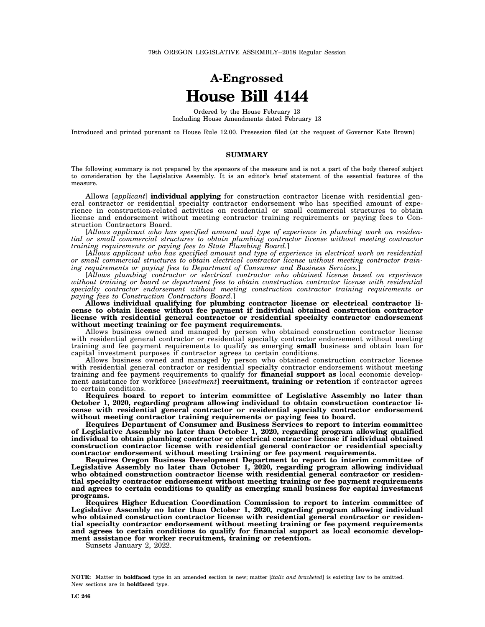## **A-Engrossed House Bill 4144**

Ordered by the House February 13 Including House Amendments dated February 13

Introduced and printed pursuant to House Rule 12.00. Presession filed (at the request of Governor Kate Brown)

## **SUMMARY**

The following summary is not prepared by the sponsors of the measure and is not a part of the body thereof subject to consideration by the Legislative Assembly. It is an editor's brief statement of the essential features of the measure.

Allows [*applicant*] **individual applying** for construction contractor license with residential general contractor or residential specialty contractor endorsement who has specified amount of experience in construction-related activities on residential or small commercial structures to obtain license and endorsement without meeting contractor training requirements or paying fees to Construction Contractors Board.

[*Allows applicant who has specified amount and type of experience in plumbing work on residential or small commercial structures to obtain plumbing contractor license without meeting contractor training requirements or paying fees to State Plumbing Board.*]

[*Allows applicant who has specified amount and type of experience in electrical work on residential or small commercial structures to obtain electrical contractor license without meeting contractor training requirements or paying fees to Department of Consumer and Business Services.*]

[*Allows plumbing contractor or electrical contractor who obtained license based on experience without training or board or department fees to obtain construction contractor license with residential specialty contractor endorsement without meeting construction contractor training requirements or paying fees to Construction Contractors Board.*]

**Allows individual qualifying for plumbing contractor license or electrical contractor license to obtain license without fee payment if individual obtained construction contractor license with residential general contractor or residential specialty contractor endorsement without meeting training or fee payment requirements.**

Allows business owned and managed by person who obtained construction contractor license with residential general contractor or residential specialty contractor endorsement without meeting training and fee payment requirements to qualify as emerging **small** business and obtain loan for capital investment purposes if contractor agrees to certain conditions.

Allows business owned and managed by person who obtained construction contractor license with residential general contractor or residential specialty contractor endorsement without meeting training and fee payment requirements to qualify for **financial support as** local economic development assistance for workforce [*investment*] **recruitment, training or retention** if contractor agrees to certain conditions.

**Requires board to report to interim committee of Legislative Assembly no later than October 1, 2020, regarding program allowing individual to obtain construction contractor license with residential general contractor or residential specialty contractor endorsement without meeting contractor training requirements or paying fees to board.**

**Requires Department of Consumer and Business Services to report to interim committee of Legislative Assembly no later than October 1, 2020, regarding program allowing qualified individual to obtain plumbing contractor or electrical contractor license if individual obtained construction contractor license with residential general contractor or residential specialty contractor endorsement without meeting training or fee payment requirements.**

**Requires Oregon Business Development Department to report to interim committee of Legislative Assembly no later than October 1, 2020, regarding program allowing individual who obtained construction contractor license with residential general contractor or residential specialty contractor endorsement without meeting training or fee payment requirements and agrees to certain conditions to qualify as emerging small business for capital investment programs.**

**Requires Higher Education Coordination Commission to report to interim committee of Legislative Assembly no later than October 1, 2020, regarding program allowing individual who obtained construction contractor license with residential general contractor or residential specialty contractor endorsement without meeting training or fee payment requirements and agrees to certain conditions to qualify for financial support as local economic development assistance for worker recruitment, training or retention.**

Sunsets January 2, 2022.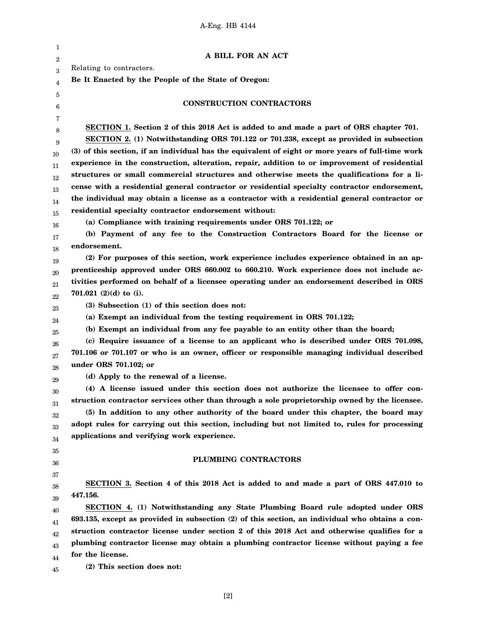| 1                |                                                                                                   |
|------------------|---------------------------------------------------------------------------------------------------|
| $\boldsymbol{2}$ | A BILL FOR AN ACT                                                                                 |
| 3                | Relating to contractors.                                                                          |
| 4                | Be It Enacted by the People of the State of Oregon:                                               |
| 5                |                                                                                                   |
| 6                | <b>CONSTRUCTION CONTRACTORS</b>                                                                   |
| 7                |                                                                                                   |
| 8                | SECTION 1. Section 2 of this 2018 Act is added to and made a part of ORS chapter 701.             |
| 9                | SECTION 2. (1) Notwithstanding ORS 701.122 or 701.238, except as provided in subsection           |
| 10               | (3) of this section, if an individual has the equivalent of eight or more years of full-time work |
| 11               | experience in the construction, alteration, repair, addition to or improvement of residential     |
| 12               | structures or small commercial structures and otherwise meets the qualifications for a li-        |
| 13               | cense with a residential general contractor or residential specialty contractor endorsement,      |
| 14               | the individual may obtain a license as a contractor with a residential general contractor or      |
| 15               | residential specialty contractor endorsement without:                                             |
| 16               | (a) Compliance with training requirements under ORS 701.122; or                                   |
| 17               | (b) Payment of any fee to the Construction Contractors Board for the license or                   |
| 18               | endorsement.                                                                                      |
| 19               | (2) For purposes of this section, work experience includes experience obtained in an ap-          |
| 20               | prenticeship approved under ORS 660.002 to 660.210. Work experience does not include ac-          |
| 21               | tivities performed on behalf of a licensee operating under an endorsement described in ORS        |
| 22               | 701.021 $(2)(d)$ to $(i)$ .                                                                       |
| 23               | (3) Subsection (1) of this section does not:                                                      |
| 24               | (a) Exempt an individual from the testing requirement in ORS 701.122;                             |
| 25               | (b) Exempt an individual from any fee payable to an entity other than the board;                  |
| 26               | (c) Require issuance of a license to an applicant who is described under ORS 701.098,             |
| 27               | 701.106 or 701.107 or who is an owner, officer or responsible managing individual described       |
|                  |                                                                                                   |
|                  | under ORS 701.102; or                                                                             |
| 28               | (d) Apply to the renewal of a license.                                                            |
| 29               | (4) A license issued under this section does not authorize the licensee to offer con-             |
| 30               | struction contractor services other than through a sole proprietorship owned by the licensee.     |
| 31               | (5) In addition to any other authority of the board under this chapter, the board may             |
| 32               | adopt rules for carrying out this section, including but not limited to, rules for processing     |
| 33               | applications and verifying work experience.                                                       |
| 34               |                                                                                                   |
| 35               |                                                                                                   |
| 36               | PLUMBING CONTRACTORS                                                                              |
| 37               |                                                                                                   |
| 38               | SECTION 3. Section 4 of this 2018 Act is added to and made a part of ORS 447.010 to<br>447.156.   |
| 39               |                                                                                                   |
| 40               | SECTION 4. (1) Notwithstanding any State Plumbing Board rule adopted under ORS                    |
| 41               | 693.135, except as provided in subsection (2) of this section, an individual who obtains a con-   |
| 42               | struction contractor license under section 2 of this 2018 Act and otherwise qualifies for a       |
| 43               | plumbing contractor license may obtain a plumbing contractor license without paying a fee         |
| 44<br>45         | for the license.<br>(2) This section does not:                                                    |

[2]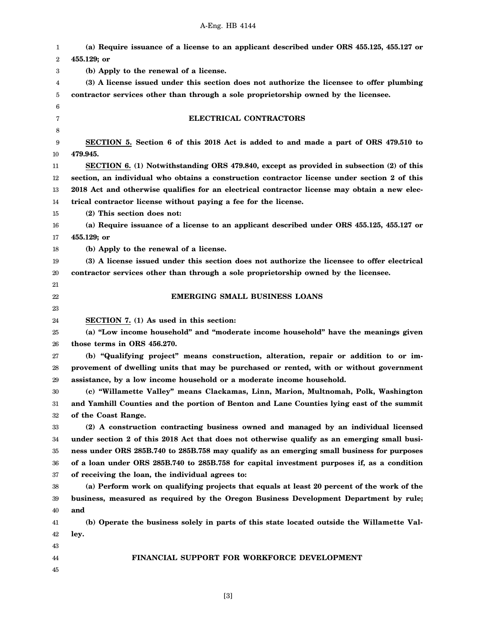## A-Eng. HB 4144

| 1  | (a) Require issuance of a license to an applicant described under ORS 455.125, 455.127 or                         |
|----|-------------------------------------------------------------------------------------------------------------------|
| 2  | 455.129; or                                                                                                       |
| 3  | (b) Apply to the renewal of a license.                                                                            |
| 4  | (3) A license issued under this section does not authorize the licensee to offer plumbing                         |
| 5  | contractor services other than through a sole proprietorship owned by the licensee.                               |
| 6  |                                                                                                                   |
| 7  | ELECTRICAL CONTRACTORS                                                                                            |
| 8  |                                                                                                                   |
| 9  | SECTION 5. Section 6 of this 2018 Act is added to and made a part of ORS 479.510 to                               |
| 10 | 479.945.                                                                                                          |
| 11 | SECTION 6. (1) Notwithstanding ORS 479.840, except as provided in subsection (2) of this                          |
| 12 | section, an individual who obtains a construction contractor license under section 2 of this                      |
| 13 | 2018 Act and otherwise qualifies for an electrical contractor license may obtain a new elec-                      |
| 14 | trical contractor license without paying a fee for the license.                                                   |
| 15 | (2) This section does not:                                                                                        |
| 16 | (a) Require issuance of a license to an applicant described under ORS 455.125, 455.127 or                         |
| 17 | 455.129; or                                                                                                       |
| 18 | (b) Apply to the renewal of a license.                                                                            |
| 19 | (3) A license issued under this section does not authorize the licensee to offer electrical                       |
| 20 | contractor services other than through a sole proprietorship owned by the licensee.                               |
| 21 |                                                                                                                   |
| 22 | <b>EMERGING SMALL BUSINESS LOANS</b>                                                                              |
| 23 |                                                                                                                   |
|    |                                                                                                                   |
| 24 |                                                                                                                   |
| 25 | SECTION 7. (1) As used in this section:                                                                           |
| 26 | (a) "Low income household" and "moderate income household" have the meanings given<br>those terms in ORS 456.270. |
| 27 |                                                                                                                   |
| 28 | (b) "Qualifying project" means construction, alteration, repair or addition to or im-                             |
| 29 | provement of dwelling units that may be purchased or rented, with or without government                           |
| 30 | assistance, by a low income household or a moderate income household.                                             |
| 31 | (c) "Willamette Valley" means Clackamas, Linn, Marion, Multnomah, Polk, Washington                                |
| 32 | and Yamhill Counties and the portion of Benton and Lane Counties lying east of the summit                         |
| 33 | of the Coast Range.<br>(2) A construction contracting business owned and managed by an individual licensed        |
| 34 |                                                                                                                   |
| 35 | under section 2 of this 2018 Act that does not otherwise qualify as an emerging small busi-                       |
| 36 | ness under ORS 285B.740 to 285B.758 may qualify as an emerging small business for purposes                        |
| 37 | of a loan under ORS 285B.740 to 285B.758 for capital investment purposes if, as a condition                       |
| 38 | of receiving the loan, the individual agrees to:                                                                  |
| 39 | (a) Perform work on qualifying projects that equals at least 20 percent of the work of the                        |
| 40 | business, measured as required by the Oregon Business Development Department by rule;<br>and                      |
| 41 | (b) Operate the business solely in parts of this state located outside the Willamette Val-                        |
| 42 | ley.                                                                                                              |
| 43 |                                                                                                                   |
| 44 | FINANCIAL SUPPORT FOR WORKFORCE DEVELOPMENT                                                                       |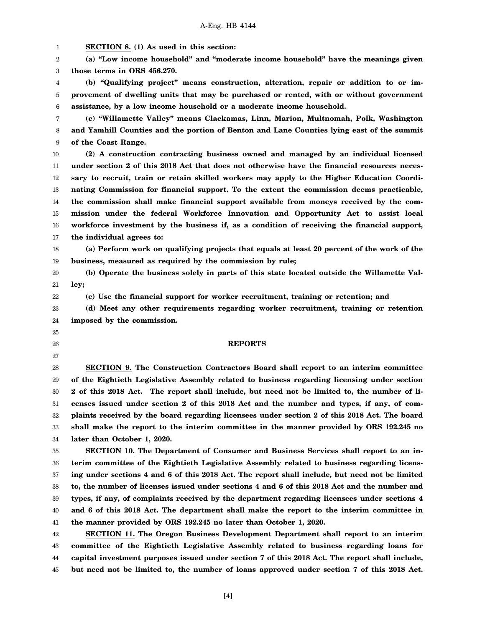1 2 3 4 5 6 7 8 9 10 11 12 13 14 15 16 17 18 19 20 21 22 23 24 25 26 27 28 29 30 31 32 33 34 35 36 37 38 39 40 41 42 43 44 45 **SECTION 8. (1) As used in this section: (a) "Low income household" and "moderate income household" have the meanings given those terms in ORS 456.270. (b) "Qualifying project" means construction, alteration, repair or addition to or improvement of dwelling units that may be purchased or rented, with or without government assistance, by a low income household or a moderate income household. (c) "Willamette Valley" means Clackamas, Linn, Marion, Multnomah, Polk, Washington and Yamhill Counties and the portion of Benton and Lane Counties lying east of the summit of the Coast Range. (2) A construction contracting business owned and managed by an individual licensed under section 2 of this 2018 Act that does not otherwise have the financial resources necessary to recruit, train or retain skilled workers may apply to the Higher Education Coordinating Commission for financial support. To the extent the commission deems practicable, the commission shall make financial support available from moneys received by the commission under the federal Workforce Innovation and Opportunity Act to assist local workforce investment by the business if, as a condition of receiving the financial support, the individual agrees to: (a) Perform work on qualifying projects that equals at least 20 percent of the work of the business, measured as required by the commission by rule; (b) Operate the business solely in parts of this state located outside the Willamette Valley; (c) Use the financial support for worker recruitment, training or retention; and (d) Meet any other requirements regarding worker recruitment, training or retention imposed by the commission. REPORTS SECTION 9. The Construction Contractors Board shall report to an interim committee of the Eightieth Legislative Assembly related to business regarding licensing under section 2 of this 2018 Act. The report shall include, but need not be limited to, the number of licenses issued under section 2 of this 2018 Act and the number and types, if any, of complaints received by the board regarding licensees under section 2 of this 2018 Act. The board shall make the report to the interim committee in the manner provided by ORS 192.245 no later than October 1, 2020. SECTION 10. The Department of Consumer and Business Services shall report to an interim committee of the Eightieth Legislative Assembly related to business regarding licensing under sections 4 and 6 of this 2018 Act. The report shall include, but need not be limited to, the number of licenses issued under sections 4 and 6 of this 2018 Act and the number and types, if any, of complaints received by the department regarding licensees under sections 4 and 6 of this 2018 Act. The department shall make the report to the interim committee in the manner provided by ORS 192.245 no later than October 1, 2020. SECTION 11. The Oregon Business Development Department shall report to an interim committee of the Eightieth Legislative Assembly related to business regarding loans for capital investment purposes issued under section 7 of this 2018 Act. The report shall include, but need not be limited to, the number of loans approved under section 7 of this 2018 Act.**